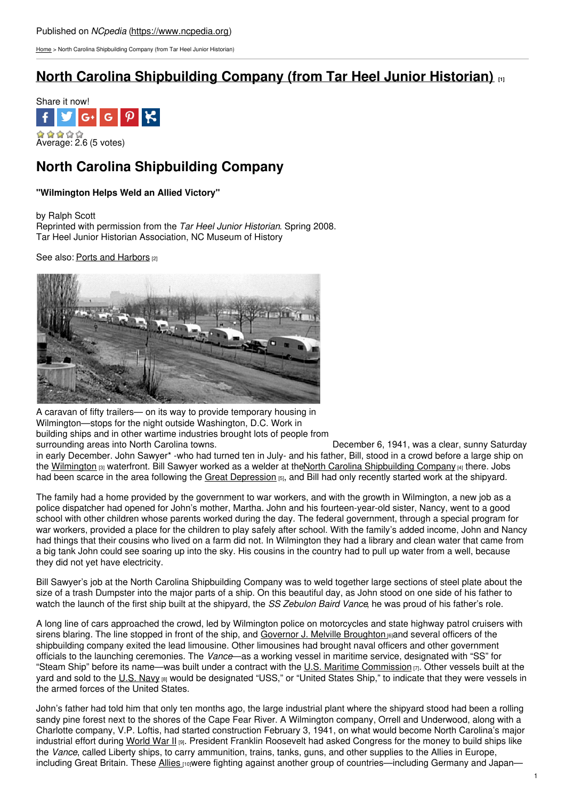[Home](https://www.ncpedia.org/) > North Carolina Shipbuilding Company (from Tar Heel Junior Historian)

# **North Carolina [Shipbuilding](https://www.ncpedia.org/wwii/nc-shipbuilding-company) Company (from Tar Heel Junior Historian)**



## **North Carolina Shipbuilding Company**

### **"Wilmington Helps Weld an Allied Victory"**

by Ralph Scott

Reprinted with permission from the *Tar Heel Junior Historian*. Spring 2008. Tar Heel Junior Historian Association, NC Museum of History

See also: Ports and [Harbors](https://www.ncpedia.org/ports-and-harbors) [2]



A caravan of fifty trailers— on its way to provide temporary housing in Wilmington—stops for the night outside Washington, D.C. Work in building ships and in other wartime industries brought lots of people from surrounding areas into North Carolina towns. December 6, 1941, was a clear, sunny Saturday

in early December. John Sawyer\* -who had turned ten in July- and his father, Bill, stood in a crowd before a large ship on the [Wilmington](https://www.ncpedia.org/geography/wilmington) [3] waterfront. Bill Sawyer worked as a welder at theNorth Carolina [Shipbuilding](https://www.ncdcr.gov/about/history/division-historical-resources/nc-highway-historical-marker-program/Markers.aspx?sp=search&sv=D-96 - NORTH CAROLINA SHIPBUILDING CO) Company [4] there. Jobs had been scarce in the area following the Great [Depression](https://www.ncpedia.org/history/20th-Century/great-depression)  $55$ , and Bill had only recently started work at the shipyard.

The family had a home provided by the government to war workers, and with the growth in Wilmington, a new job as a police dispatcher had opened for John's mother, Martha. John and his fourteen-year-old sister, Nancy, went to a good school with other children whose parents worked during the day. The federal government, through a special program for war workers, provided a place for the children to play safely after school. With the family's added income, John and Nancy had things that their cousins who lived on a farm did not. In Wilmington they had a library and clean water that came from a big tank John could see soaring up into the sky. His cousins in the country had to pull up water from a well, because they did not yet have electricity.

Bill Sawyer's job at the North Carolina Shipbuilding Company was to weld together large sections of steel plate about the size of a trash Dumpster into the major parts of a ship. On this beautiful day, as John stood on one side of his father to watch the launch of the first ship built at the shipyard, the *SS Zebulon Baird Vance*, he was proud of his father's role.

A long line of cars approached the crowd, led by Wilmington police on motorcycles and state highway patrol cruisers with sirens blaring. The line stopped in front of the ship, and Governor J. Melville [Broughton](https://www.ncpedia.org/broughton-joseph-melville-research) **6** and several officers of the shipbuilding company exited the lead limousine. Other limousines had brought naval officers and other government officials to the launching ceremonies. The *Vance*—as a working vessel in maritime service, designated with "SS" for "Steam Ship" before its name—was built under a contract with the U.S. Maritime [Commission](http://www.archives.gov/research/guide-fed-records/groups/178.html)  $\eta$ . Other vessels built at the yard and sold to the U.S. [Navy](http://www.navy.mil/) [8] would be designated "USS," or "United States Ship," to indicate that they were vessels in the armed forces of the United States.

John's father had told him that only ten months ago, the large industrial plant where the shipyard stood had been a rolling sandy pine forest next to the shores of the Cape Fear River. A Wilmington company, Orrell and Underwood, along with a Charlotte company, V.P. Loftis, had started construction February 3, 1941, on what would become North Carolina's major industrial effort during [World](https://www.ncpedia.org/world-war-ii) War II [9]. President Franklin Roosevelt had asked Congress for the money to build ships like the *Vance*, called Liberty ships, to carry ammunition, trains, tanks, guns, and other supplies to the Allies in Europe, including Great Britain. These [Allies](http://www.britannica.com/EBchecked/topic/16380/Allied-Powers) **rowere fighting against another group of countries—including Germany and Japan**—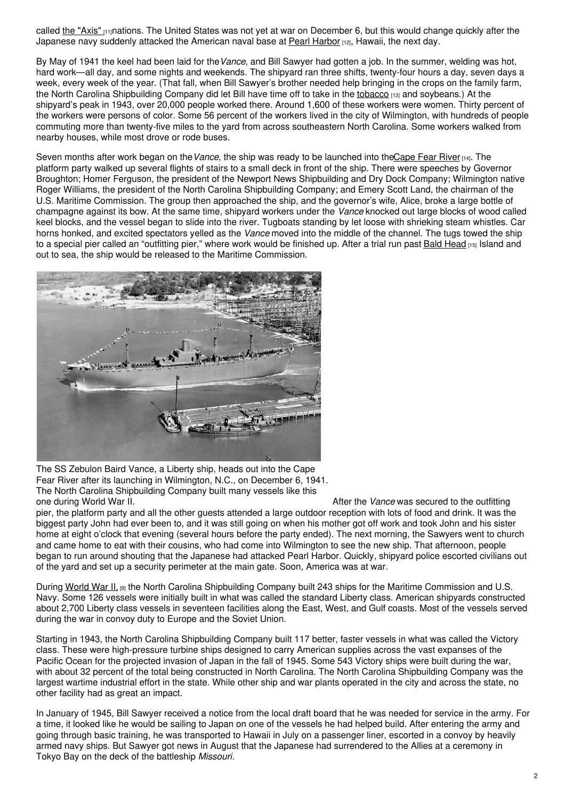called the ["Axis"](http://www.britannica.com/EBchecked/topic/46315/Axis-Powers) [11] nations. The United States was not yet at war on December 6, but this would change quickly after the Japanese navy suddenly attacked the American naval base at Pearl [Harbor](http://www.pbs.org/perilousfight/battlefield/pearl_harbor/) [12], Hawaii, the next day.

By May of 1941 the keel had been laid for the*Vance*, and Bill Sawyer had gotten a job. In the summer, welding was hot, hard work—all day, and some nights and weekends. The shipyard ran three shifts, twenty-four hours a day, seven days a week, every week of the year. (That fall, when Bill Sawyer's brother needed help bringing in the crops on the family farm, the North Carolina Shipbuilding Company did let Bill have time off to take in the [tobacco](https://www.ncpedia.org/tobacco) [13] and soybeans.) At the shipyard's peak in 1943, over 20,000 people worked there. Around 1,600 of these workers were women. Thirty percent of the workers were persons of color. Some 56 percent of the workers lived in the city of Wilmington, with hundreds of people commuting more than twenty-five miles to the yard from across southeastern North Carolina. Some workers walked from nearby houses, while most drove or rode buses.

Seven months after work began on the*Vance*, the ship was ready to be launched into th[eCape](https://www.ncpedia.org/rivers/cape-fear) Fear River [14]. The platform party walked up several flights of stairs to a small deck in front of the ship. There were speeches by Governor Broughton; Homer Ferguson, the president of the Newport News Shipbuilding and Dry Dock Company; Wilmington native Roger Williams, the president of the North Carolina Shipbuilding Company; and Emery Scott Land, the chairman of the U.S. Maritime Commission. The group then approached the ship, and the governor's wife, Alice, broke a large bottle of champagne against its bow. At the same time, shipyard workers under the *Vance* knocked out large blocks of wood called keel blocks, and the vessel began to slide into the river. Tugboats standing by let loose with shrieking steam whistles. Car horns honked, and excited spectators yelled as the *Vance* moved into the middle of the channel. The tugs towed the ship to a special pier called an "outfitting pier," where work would be finished up. After a trial run past Bald [Head](https://www.ncpedia.org/bald-head) [15] Island and out to sea, the ship would be released to the Maritime Commission.



The SS Zebulon Baird Vance, a Liberty ship, heads out into the Cape Fear River after its launching in Wilmington, N.C., on December 6, 1941. The North Carolina Shipbuilding Company built many vessels like this one during World War II.

After the *Vance* was secured to the outfitting pier, the platform party and all the other guests attended a large outdoor reception with lots of food and drink. It was the biggest party John had ever been to, and it was still going on when his mother got off work and took John and his sister home at eight o'clock that evening (several hours before the party ended). The next morning, the Sawyers went to church and came home to eat with their cousins, who had come into Wilmington to see the new ship. That afternoon, people began to run around shouting that the Japanese had attacked Pearl Harbor. Quickly, shipyard police escorted civilians out of the yard and set up a security perimeter at the main gate. Soon, America was at war.

During [World](https://www.ncpedia.org/world-war-ii) War II, [9] the North Carolina Shipbuilding Company built 243 ships for the Maritime Commission and U.S. Navy. Some 126 vessels were initially built in what was called the standard Liberty class. American shipyards constructed about 2,700 Liberty class vessels in seventeen facilities along the East, West, and Gulf coasts. Most of the vessels served during the war in convoy duty to Europe and the Soviet Union.

Starting in 1943, the North Carolina Shipbuilding Company built 117 better, faster vessels in what was called the Victory class. These were high-pressure turbine ships designed to carry American supplies across the vast expanses of the Pacific Ocean for the projected invasion of Japan in the fall of 1945. Some 543 Victory ships were built during the war, with about 32 percent of the total being constructed in North Carolina. The North Carolina Shipbuilding Company was the largest wartime industrial effort in the state. While other ship and war plants operated in the city and across the state, no other facility had as great an impact.

In January of 1945, Bill Sawyer received a notice from the local draft board that he was needed for service in the army. For a time, it looked like he would be sailing to Japan on one of the vessels he had helped build. After entering the army and going through basic training, he was transported to Hawaii in July on a passenger liner, escorted in a convoy by heavily armed navy ships. But Sawyer got news in August that the Japanese had surrendered to the Allies at a ceremony in Tokyo Bay on the deck of the battleship *Missouri*.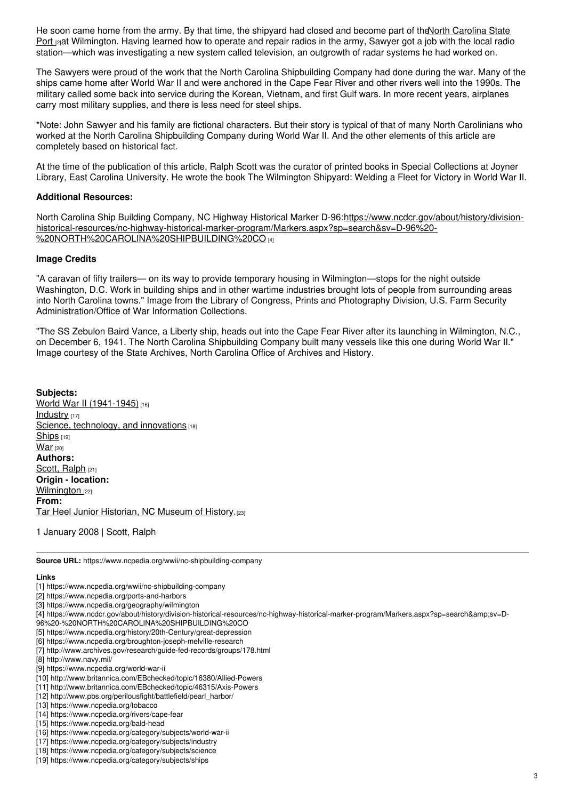He soon came home from the army. By that time, the shipyard had closed and become part of the North Carolina State Port <sub>[2]</sub>at [Wilmington.](https://www.ncpedia.org/ports-and-harbors) Having learned how to operate and repair radios in the army, Sawyer got a job with the local radio station—which was investigating a new system called television, an outgrowth of radar systems he had worked on.

The Sawyers were proud of the work that the North Carolina Shipbuilding Company had done during the war. Many of the ships came home after World War II and were anchored in the Cape Fear River and other rivers well into the 1990s. The military called some back into service during the Korean, Vietnam, and first Gulf wars. In more recent years, airplanes carry most military supplies, and there is less need for steel ships.

\*Note: John Sawyer and his family are fictional characters. But their story is typical of that of many North Carolinians who worked at the North Carolina Shipbuilding Company during World War II. And the other elements of this article are completely based on historical fact.

At the time of the publication of this article, Ralph Scott was the curator of printed books in Special Collections at Joyner Library, East Carolina University. He wrote the book The Wilmington Shipyard: Welding a Fleet for Victory in World War II.

#### **Additional Resources:**

North Carolina Ship Building Company, NC Highway Historical Marker D-96:https://www.ncdcr.gov/about/history/division[historical-resources/nc-highway-historical-marker-program/Markers.aspx?sp=search&sv=D-96%20-](https://www.ncdcr.gov/about/history/division-historical-resources/nc-highway-historical-marker-program/Markers.aspx?sp=search&sv=D-96 - NORTH CAROLINA SHIPBUILDING CO) %20NORTH%20CAROLINA%20SHIPBUILDING%20CO [4]

### **Image Credits**

"A caravan of fifty trailers— on its way to provide temporary housing in Wilmington—stops for the night outside Washington, D.C. Work in building ships and in other wartime industries brought lots of people from surrounding areas into North Carolina towns." Image from the Library of Congress, Prints and Photography Division, U.S. Farm Security Administration/Office of War Information Collections.

"The SS Zebulon Baird Vance, a Liberty ship, heads out into the Cape Fear River after its launching in Wilmington, N.C., on December 6, 1941. The North Carolina Shipbuilding Company built many vessels like this one during World War II." Image courtesy of the State Archives, North Carolina Office of Archives and History.

**Subjects:** World War II [\(1941-1945\)](https://www.ncpedia.org/category/subjects/world-war-ii) [16] [Industry](https://www.ncpedia.org/category/subjects/industry) [17] Science, [technology,](https://www.ncpedia.org/category/subjects/science) and innovations [18] [Ships](https://www.ncpedia.org/category/subjects/ships) [19] **[War](https://www.ncpedia.org/category/subjects/war)** [20] **Authors:** [Scott,](https://www.ncpedia.org/category/authors/scott-ralph) Ralph [21] **Origin - location:** [Wilmington](https://www.ncpedia.org/category/origin-location/coastal-39) [22] **From:** Tar Heel Junior [Historian,](https://www.ncpedia.org/category/entry-source/tar-heel-juni) NC Museum of History.[23]

1 January 2008 | Scott, Ralph

**Source URL:** https://www.ncpedia.org/wwii/nc-shipbuilding-company

#### **Links**

- [1] https://www.ncpedia.org/wwii/nc-shipbuilding-company
- [2] https://www.ncpedia.org/ports-and-harbors
- [3] https://www.ncpedia.org/geography/wilmington
- [4] https://www.ncdcr.gov/about/history/division-historical-resources/nc-highway-historical-marker-program/Markers.aspx?sp=search&sv=D-
- 96%20-%20NORTH%20CAROLINA%20SHIPBUILDING%20CO
- [5] https://www.ncpedia.org/history/20th-Century/great-depression
- [6] https://www.ncpedia.org/broughton-joseph-melville-research
- [7] http://www.archives.gov/research/guide-fed-records/groups/178.html
- [8] http://www.navy.mil/
- [9] https://www.ncpedia.org/world-war-ii
- [10] http://www.britannica.com/EBchecked/topic/16380/Allied-Powers
- [11] http://www.britannica.com/EBchecked/topic/46315/Axis-Powers
- [12] http://www.pbs.org/perilousfight/battlefield/pearl\_harbor/
- [13] https://www.ncpedia.org/tobacco
- [14] https://www.ncpedia.org/rivers/cape-fear
- [15] https://www.ncpedia.org/bald-head
- [16] https://www.ncpedia.org/category/subjects/world-war-ii
- [17] https://www.ncpedia.org/category/subjects/industry
- [18] https://www.ncpedia.org/category/subjects/science
- [19] https://www.ncpedia.org/category/subjects/ships